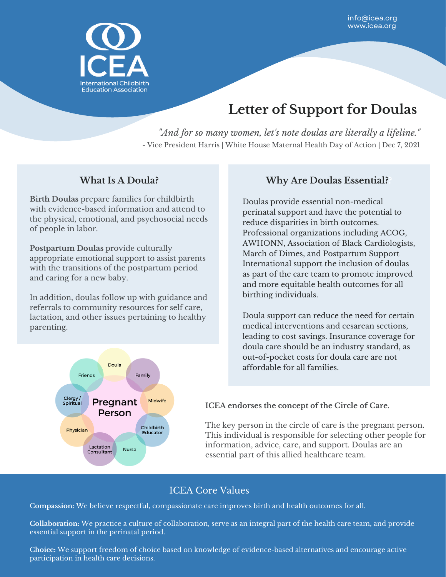

# **Letter of Support for Doulas**

*"And for so many women, let's note doulas are literally a lifeline."* - Vice President Harris | White House Maternal Health Day of Action | Dec 7, 2021

#### **What Is A Doula?**

**Birth Doulas** prepare families for childbirth with evidence-based information and attend to the physical, emotional, and psychosocial needs of people in labor.

**Postpartum Doulas** provide culturally appropriate emotional support to assist parents with the transitions of the postpartum period and caring for a new baby.

In addition, doulas follow up with guidance and referrals to community resources for self care, lactation, and other issues pertaining to healthy parenting.



#### **Why Are Doulas Essential??**

Doulas provide essential non-medical perinatal support and have the potential to reduce disparities in birth outcomes. Professional organizations including ACOG, AWHONN, Association of Black Cardiologists, March of Dimes, and Postpartum Support International support the inclusion of doulas as part of the care team to promote improved and more equitable health outcomes for all birthing individuals.

Doula support can reduce the need for certain medical interventions and cesarean sections, leading to cost savings. Insurance coverage for doula care should be an industry standard, as out-of-pocket costs for doula care are not affordable for all families.

**ICEA endorses the concept of the Circle of Care.**

The key person in the circle of care is the pregnant person. This individual is responsible for selecting other people for information, advice, care, and support. Doulas are an essential part of this allied healthcare team.

## ICEA Core Values

C**ompassion:** We believe respectful, compassionate care improves birth and health outcomes for all.

**Collaboration:** We practice a culture of collaboration, serve as an integral part of the health care team, and provide essential support in the perinatal period.

C**hoice:** We support freedom of choice based on knowledge of evidence-based alternatives and encourage active participation in health care decisions.